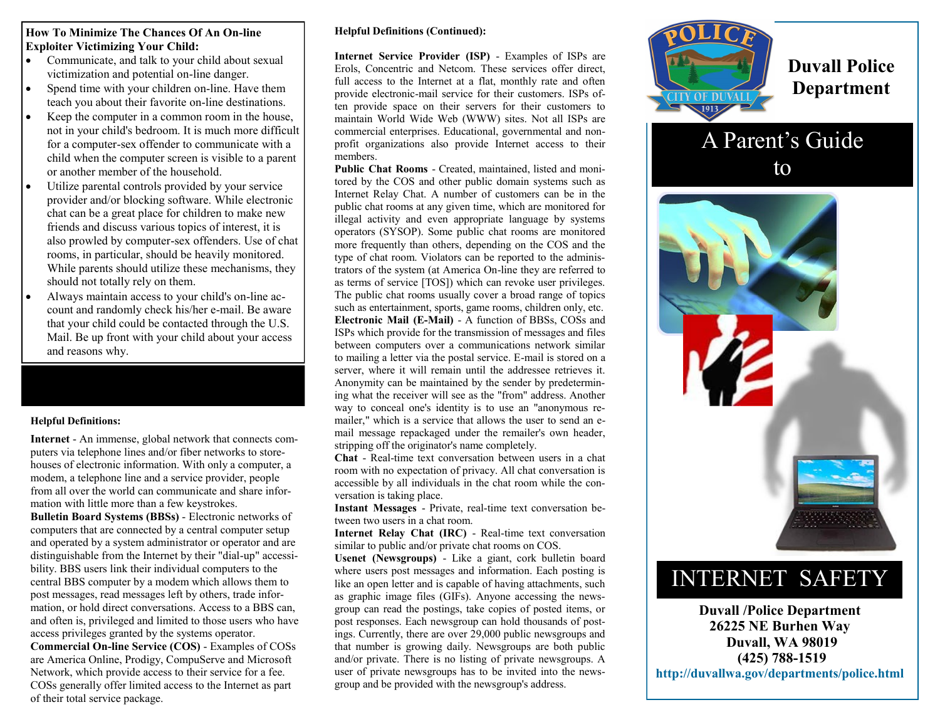### **How To Minimize The Chances Of An On-line Exploiter Victimizing Your Child:**

- Communicate, and talk to your child about sexual victimization and potential on-line danger.
- Spend time with your children on-line. Have them teach you about their favorite on-line destinations.
- Keep the computer in a common room in the house, not in your child's bedroom. It is much more difficult for a computer-sex offender to communicate with a child when the computer screen is visible to a parent or another member of the household.
- Utilize parental controls provided by your service provider and/or blocking software. While electronic chat can be a great place for children to make new friends and discuss various topics of interest, it is also prowled by computer-sex offenders. Use of chat rooms, in particular, should be heavily monitored. While parents should utilize these mechanisms, they should not totally rely on them.
- Always maintain access to your child's on-line account and randomly check his/her e-mail. Be aware that your child could be contacted through the U.S. Mail. Be up front with your child about your access and reasons why.

### **Helpful Definitions:**

**Internet** - An immense, global network that connects computers via telephone lines and/or fiber networks to storehouses of electronic information. With only a computer, a modem, a telephone line and a service provider, people from all over the world can communicate and share information with little more than a few keystrokes. **Bulletin Board Systems (BBSs)** - Electronic networks of computers that are connected by a central computer setup and operated by a system administrator or operator and are distinguishable from the Internet by their "dial-up" accessibility. BBS users link their individual computers to the central BBS computer by a modem which allows them to post messages, read messages left by others, trade information, or hold direct conversations. Access to a BBS can, and often is, privileged and limited to those users who have access privileges granted by the systems operator. **Commercial On-line Service (COS)** - Examples of COSs are America Online, Prodigy, CompuServe and Microsoft Network, which provide access to their service for a fee. COSs generally offer limited access to the Internet as part of their total service package.

#### **Helpful Definitions (Continued):**

**Internet Service Provider (ISP)** - Examples of ISPs are Erols, Concentric and Netcom. These services offer direct, full access to the Internet at a flat, monthly rate and often provide electronic-mail service for their customers. ISPs often provide space on their servers for their customers to maintain World Wide Web (WWW) sites. Not all ISPs are commercial enterprises. Educational, governmental and nonprofit organizations also provide Internet access to their members.

**Public Chat Rooms** - Created, maintained, listed and monitored by the COS and other public domain systems such as Internet Relay Chat. A number of customers can be in the public chat rooms at any given time, which are monitored for illegal activity and even appropriate language by systems operators (SYSOP). Some public chat rooms are monitored more frequently than others, depending on the COS and the type of chat room. Violators can be reported to the administrators of the system (at America On-line they are referred to as terms of service [TOS]) which can revoke user privileges. The public chat rooms usually cover a broad range of topics such as entertainment, sports, game rooms, children only, etc. **Electronic Mail (E-Mail)** - A function of BBSs, COSs and ISPs which provide for the transmission of messages and files between computers over a communications network similar to mailing a letter via the postal service. E-mail is stored on a server, where it will remain until the addressee retrieves it. Anonymity can be maintained by the sender by predetermining what the receiver will see as the "from" address. Another way to conceal one's identity is to use an "anonymous remailer," which is a service that allows the user to send an email message repackaged under the remailer's own header, stripping off the originator's name completely.

**Chat** - Real-time text conversation between users in a chat room with no expectation of privacy. All chat conversation is accessible by all individuals in the chat room while the conversation is taking place.

**Instant Messages** - Private, real-time text conversation between two users in a chat room.

**Internet Relay Chat (IRC)** - Real-time text conversation similar to public and/or private chat rooms on COS.

**Usenet (Newsgroups)** - Like a giant, cork bulletin board where users post messages and information. Each posting is like an open letter and is capable of having attachments, such as graphic image files (GIFs). Anyone accessing the newsgroup can read the postings, take copies of posted items, or post responses. Each newsgroup can hold thousands of postings. Currently, there are over 29,000 public newsgroups and that number is growing daily. Newsgroups are both public and/or private. There is no listing of private newsgroups. A user of private newsgroups has to be invited into the newsgroup and be provided with the newsgroup's address.



**Duvall Police Department**

# A Parent's Guide

to



# INTERNET SAFETY

**Duvall /Police Department 26225 NE Burhen Way Duvall, WA 98019 (425) 788-1519 http://duvallwa.gov/departments/police.html**